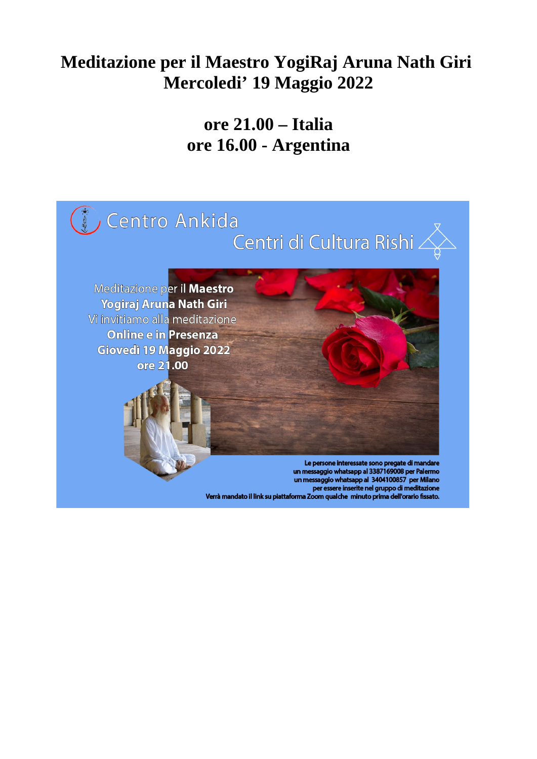### **Meditazione per il Maestro YogiRaj Aruna Nath Giri Mercoledi' 19 Maggio 2022**

### **ore 21.00 – Italia ore 16.00 - Argentina**

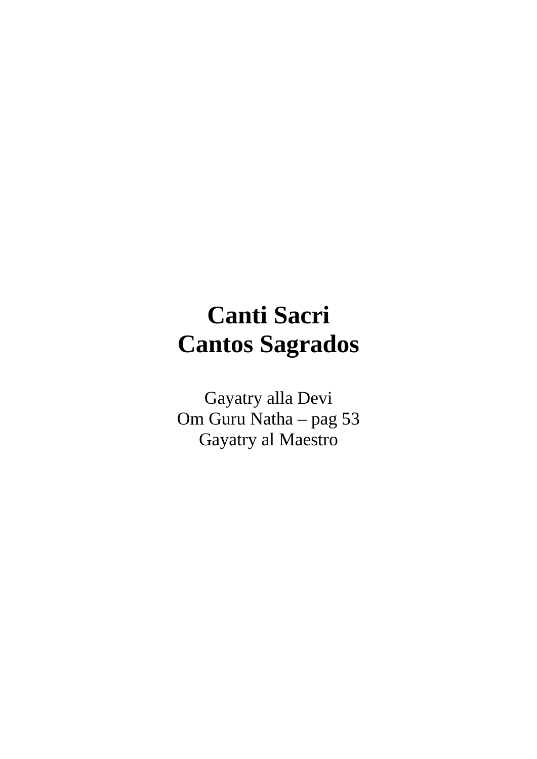# **Canti Sacri Cantos Sagrados**

Gayatry alla Devi Om Guru Natha – pag 53 Gayatry al Maestro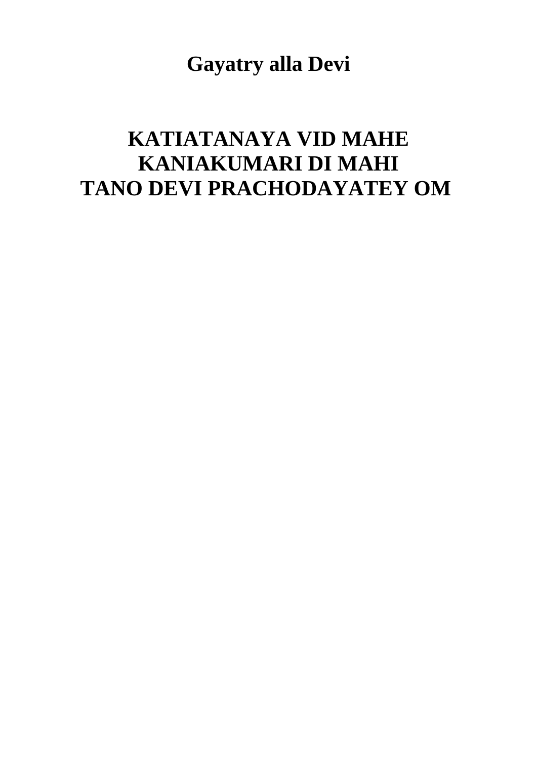**Gayatry alla Devi** 

## **KATIATANAYA VID MAHE KANIAKUMARI DI MAHI** TANO DEVI PRACHODAYATEY OM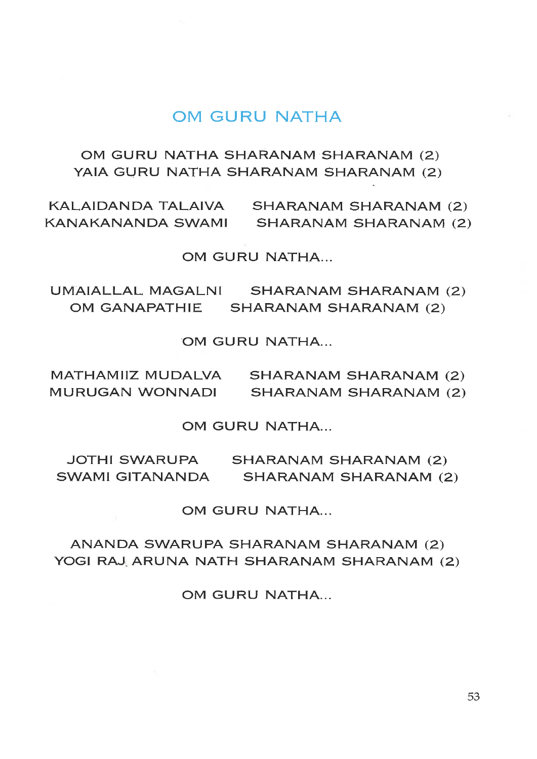#### **OM GURU NATHA**

OM GURU NATHA SHARANAM SHARANAM (2) YAIA GURU NATHA SHARANAM SHARANAM (2)

KALAIDANDA TALAIVA SHARANAM SHARANAM (2) KANAKANANDA SWAMI **SHARANAM SHARANAM (2)** 

OM GURU NATHA...

UMAIALLAL MAGALNI SHARANAM SHARANAM (2) OM GANAPATHIE SHARANAM SHARANAM (2)

OM GURU NATHA...

MATHAMIIZ MUDALVA **SHARANAM SHARANAM (2) MURUGAN WONNADI SHARANAM SHARANAM (2)** 

**OM GURU NATHA...** 

JOTHI SWARUPA SHARANAM SHARANAM (2) SWAMI GITANANDA **SHARANAM SHARANAM (2)** 

**OM GURU NATHA...** 

#### ANANDA SWARUPA SHARANAM SHARANAM (2) YOGI RAJ ARUNA NATH SHARANAM SHARANAM (2)

OM GURU NATHA...